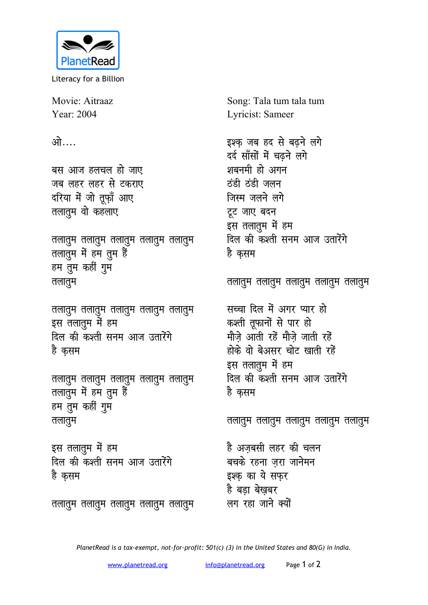

Literacy for a Billion

Movie: Aitraaz Year: 2004

<u>ओ….</u>

बस आज हलचल हो जाए जब लहर लहर से टकराए दरिया में जो तूफ़ाँ आए **तलातुम वो कहलाए** 

तलातुम तलातुम तलातुम तलातुम तलातुम तलातुम में हम तुम हैं हम तुम कहीं गुम **तलातुम** 

<u>तलातू</u>म तलातूम तलातूम तलातूम तलातूम इस तलातुम में हम दिल की कश्ती सनम आज उतारेंगे है कसम

**तलातुम तलातुम तलातुम तलातुम** तलातुम तलातुम में हम तुम हैं हम तुम कहीं गुम <u>तलातू</u>म

इस तलातुम में हम <u>दिल की कश्ती सनम आज उतारेंगे</u> है कसम

इश्क जब हद से बढ़ने लगे दर्द साँसों में चढ़ने लगे शबनमी हो अगन

Lyricist: Sameer

Song: Tala tum tala tum

<u>ठंडी ठंडी जलन</u> जिस्म जलने लगे टूट जाए बदन इस तलातुम में हम <u>दिल की कश्ती सनम आज उतारेंगे</u> है कसम

<u>तलातु</u>म तलातुम तलातुम तलातुम तलातुम

सच्चा दिल में अगर प्यार **हो** कश्ती तूफानों से पार हो मौजे आती रहें मौजे जाती रहें होके वो बेअसर चोट खाती रहें इस तलातूम में हम दिल की कश्ती सनम आज उतारेंगे है कसम

<u>तलातु</u>म तलातुम तलातुम तलातुम तलातुम

है अजबसी लहर की चल**न** बचके रहना जरा जाने**म**न इश्क का ये सफर है बडा बेखबर लग रहा जाने क्यों

<u>तलातु</u>म तलातुम तलातुम तलातुम तलातुम

*PlanetRead is a tax-exempt, not-for-profit: 501(c) (3) in the United States and 80(G) in India.*